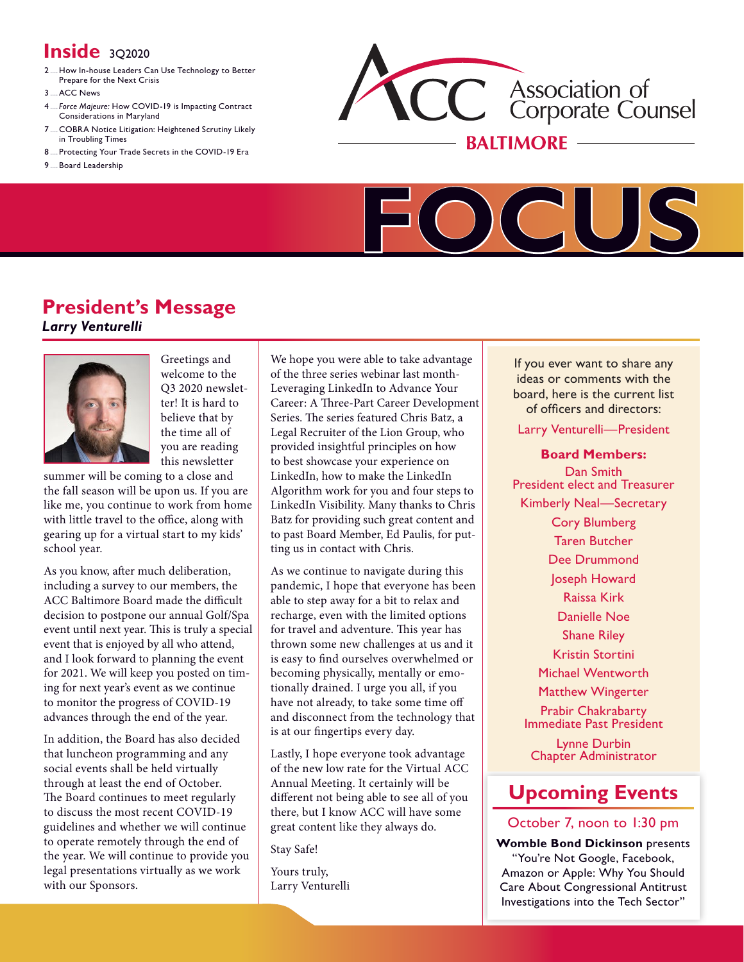# **Inside** 3Q2020

- 2.....How In-house Leaders Can Use [Technology](#page-1-0) to Better [Prepare](#page-1-0) for the Next Crisis
- 3 ACC News
- 4..... *[Force Majeure:](#page-3-0)* How COVID-19 is Impacting Contract [Considerations](#page-3-0) in Maryland
- [7.....COBRA](#page-6-0) Notice Litigation: Heightened Scrutiny Likely in [Troubling](#page-6-0) Times
- 8..... Protecting Your Trade Secrets in the [COVID-19](#page-7-0) Era
- 9.....Board [Leadership](#page-8-0)





# **President's Message**  *Larry Venturelli*



Greetings and welcome to the Q3 2020 newsletter! It is hard to believe that by the time all of you are reading this newsletter

summer will be coming to a close and the fall season will be upon us. If you are like me, you continue to work from home with little travel to the office, along with gearing up for a virtual start to my kids' school year.

As you know, after much deliberation, including a survey to our members, the ACC Baltimore Board made the difficult decision to postpone our annual Golf/Spa event until next year. This is truly a special event that is enjoyed by all who attend, and I look forward to planning the event for 2021. We will keep you posted on timing for next year's event as we continue to monitor the progress of COVID-19 advances through the end of the year.

In addition, the Board has also decided that luncheon programming and any social events shall be held virtually through at least the end of October. The Board continues to meet regularly to discuss the most recent COVID-19 guidelines and whether we will continue to operate remotely through the end of the year. We will continue to provide you legal presentations virtually as we work with our Sponsors.

We hope you were able to take advantage of the three series webinar last month-Leveraging LinkedIn to Advance Your Career: A Three-Part Career Development Series. The series featured Chris Batz, a Legal Recruiter of the Lion Group, who provided insightful principles on how to best showcase your experience on LinkedIn, how to make the LinkedIn Algorithm work for you and four steps to LinkedIn Visibility. Many thanks to Chris Batz for providing such great content and to past Board Member, Ed Paulis, for putting us in contact with Chris.

As we continue to navigate during this pandemic, I hope that everyone has been able to step away for a bit to relax and recharge, even with the limited options for travel and adventure. This year has thrown some new challenges at us and it is easy to find ourselves overwhelmed or becoming physically, mentally or emotionally drained. I urge you all, if you have not already, to take some time off and disconnect from the technology that is at our fingertips every day.

Lastly, I hope everyone took advantage of the new low rate for the Virtual ACC Annual Meeting. It certainly will be different not being able to see all of you there, but I know ACC will have some great content like they always do.

Stay Safe!

Yours truly, Larry Venturelli

If you ever want to share any ideas or comments with the board, here is the current list of officers and directors:

Larry Venturelli—President

**Board Members:** Dan Smith President elect and Treasurer Kimberly Neal—Secretary Cory Blumberg Taren Butcher Dee Drummond Joseph Howard Raissa Kirk Danielle Noe Shane Riley Kristin Stortini Michael Wentworth Matthew Wingerter Prabir Chakrabarty Immediate Past President Lynne Durbin Chapter Administrator

# **[Upcoming Events](http://www.acc.com/chapters/balt/index.cfm?eventID=all)**

## October 7, noon to 1:30 pm

**Womble Bond Dickinson** presents "You're Not Google, Facebook, Amazon or Apple: Why You Should Care About Congressional Antitrust Investigations into the Tech Sector"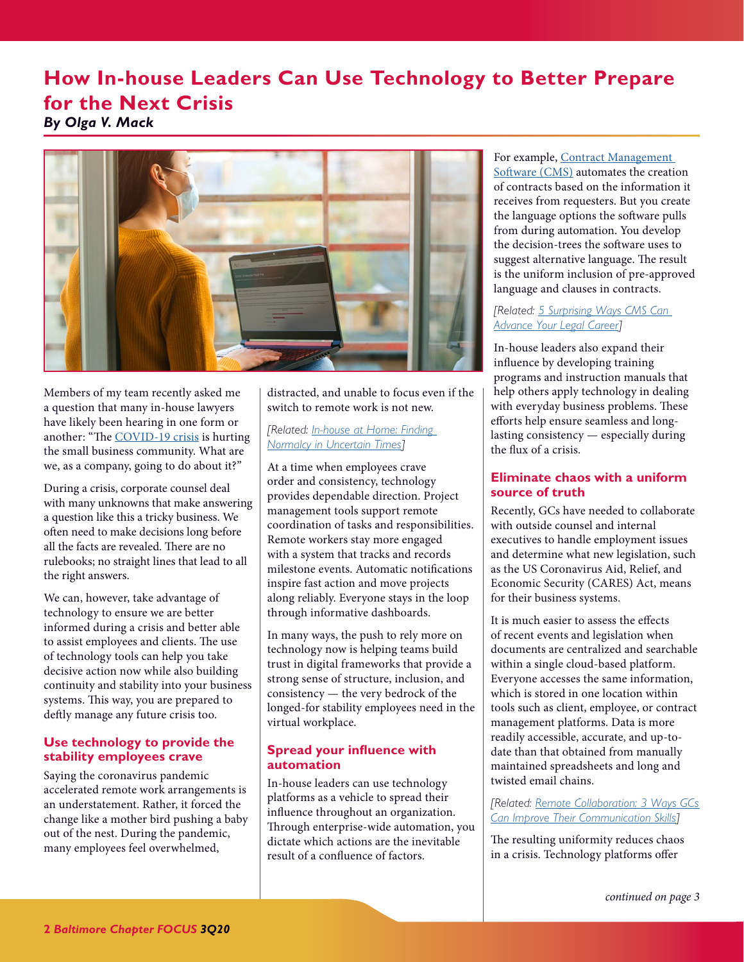# <span id="page-1-1"></span><span id="page-1-0"></span>**How In-house Leaders Can Use Technology to Better Prepare for the Next Crisis**

*By Olga V. Mack* 



Members of my team recently asked me a question that many in-house lawyers have likely been hearing in one form or another: "The [COVID-19 crisis](https://www.acc.com/covid-resources) is hurting the small business community. What are we, as a company, going to do about it?"

During a crisis, corporate counsel deal with many unknowns that make answering a question like this a tricky business. We often need to make decisions long before all the facts are revealed. There are no rulebooks; no straight lines that lead to all the right answers.

We can, however, take advantage of technology to ensure we are better informed during a crisis and better able to assist employees and clients. The use of technology tools can help you take decisive action now while also building continuity and stability into your business systems. This way, you are prepared to deftly manage any future crisis too.

## **Use technology to provide the stability employees crave**

Saying the coronavirus pandemic accelerated remote work arrangements is an understatement. Rather, it forced the change like a mother bird pushing a baby out of the nest. During the pandemic, many employees feel overwhelmed,

distracted, and unable to focus even if the switch to remote work is not new.

## *[Related: [In-house at Home: Finding](https://www.accdocket.com/articles/make-it-work-finding-normalcy-in-uncertain-times.cfm)  [Normalcy in Uncertain Times](https://www.accdocket.com/articles/make-it-work-finding-normalcy-in-uncertain-times.cfm)]*

At a time when employees crave order and consistency, technology provides dependable direction. Project management tools support remote coordination of tasks and responsibilities. Remote workers stay more engaged with a system that tracks and records milestone events. Automatic notifications inspire fast action and move projects along reliably. Everyone stays in the loop through informative dashboards.

In many ways, the push to rely more on technology now is helping teams build trust in digital frameworks that provide a strong sense of structure, inclusion, and consistency — the very bedrock of the longed-for stability employees need in the virtual workplace.

## **Spread your influence with automation**

In-house leaders can use technology platforms as a vehicle to spread their influence throughout an organization. Through enterprise-wide automation, you dictate which actions are the inevitable result of a confluence of factors.

#### For example, [Contract Management](https://www.accdocket.com/articles/3-easy-wins-to-elevate-your-tech-competence-cms.cfm)  [Software \(CMS\)](https://www.accdocket.com/articles/3-easy-wins-to-elevate-your-tech-competence-cms.cfm) automates the creation of contracts based on the information it receives from requesters. But you create the language options the software pulls from during automation. You develop the decision-trees the software uses to suggest alternative language. The result is the uniform inclusion of pre-approved language and clauses in contracts.

### *[Related: [5 Surprising Ways CMS Can](https://www.accdocket.com/articles/5-ways-cms-can-advance-your-legal-career.cfm)  [Advance Your Legal Career](https://www.accdocket.com/articles/5-ways-cms-can-advance-your-legal-career.cfm)]*

In-house leaders also expand their influence by developing training programs and instruction manuals that help others apply technology in dealing with everyday business problems. These efforts help ensure seamless and longlasting consistency — especially during the flux of a crisis.

## **Eliminate chaos with a uniform source of truth**

Recently, GCs have needed to collaborate with outside counsel and internal executives to handle employment issues and determine what new legislation, such as the US Coronavirus Aid, Relief, and Economic Security (CARES) Act, means for their business systems.

It is much easier to assess the effects of recent events and legislation when documents are centralized and searchable within a single cloud-based platform. Everyone accesses the same information, which is stored in one location within tools such as client, employee, or contract management platforms. Data is more readily accessible, accurate, and up-todate than that obtained from manually maintained spreadsheets and long and twisted email chains.

### *[Related: [Remote Collaboration: 3 Ways GCs](https://www.accdocket.com/articles/3-ways-general-counsel-improve-wfh-communications.cfm)  [Can Improve Their Communication Skills\]](https://www.accdocket.com/articles/3-ways-general-counsel-improve-wfh-communications.cfm)*

The resulting uniformity reduces chaos in a crisis. Technology platforms offer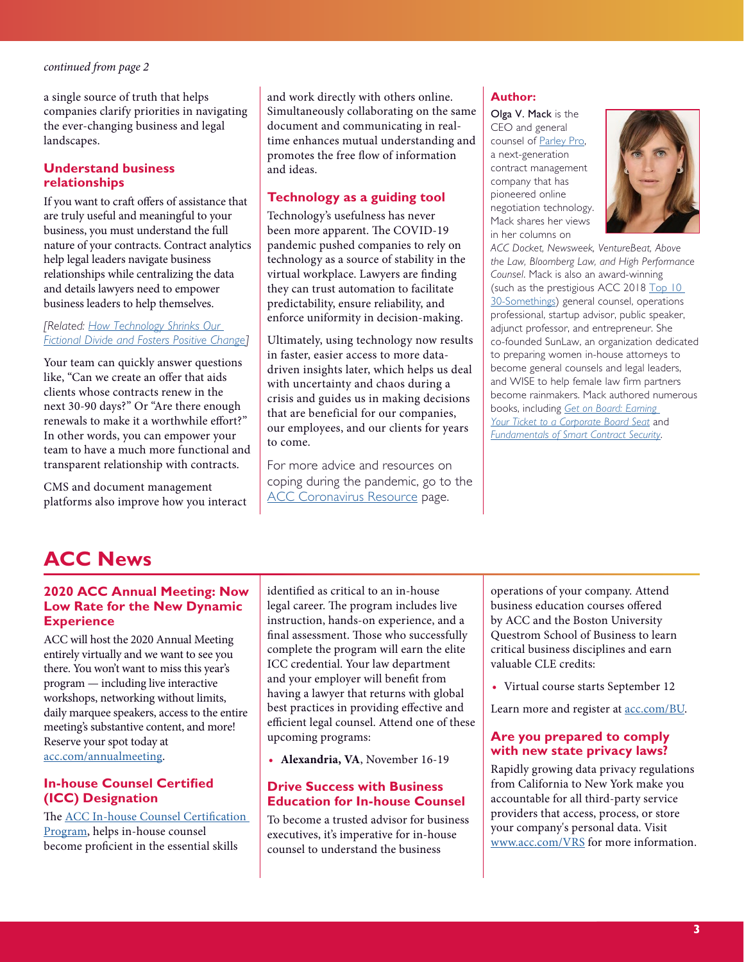<span id="page-2-1"></span>a single source of truth that helps companies clarify priorities in navigating the ever-changing business and legal landscapes.

### **Understand business relationships**

If you want to craft offers of assistance that are truly useful and meaningful to your business, you must understand the full nature of your contracts. Contract analytics help legal leaders navigate business relationships while centralizing the data and details lawyers need to empower business leaders to help themselves.

#### *[Related: [How Technology Shrinks Our](https://www.accdocket.com/articles/how-technology-shrinks-our-fictional-divide.cfm)  [Fictional Divide and Fosters Positive Change\]](https://www.accdocket.com/articles/how-technology-shrinks-our-fictional-divide.cfm)*

Your team can quickly answer questions like, "Can we create an offer that aids clients whose contracts renew in the next 30-90 days?" Or "Are there enough renewals to make it a worthwhile effort?" In other words, you can empower your team to have a much more functional and transparent relationship with contracts.

CMS and document management platforms also improve how you interact and work directly with others online. Simultaneously collaborating on the same document and communicating in realtime enhances mutual understanding and promotes the free flow of information and ideas.

## **Technology as a guiding tool**

Technology's usefulness has never been more apparent. The COVID-19 pandemic pushed companies to rely on technology as a source of stability in the virtual workplace. Lawyers are finding they can trust automation to facilitate predictability, ensure reliability, and enforce uniformity in decision-making.

Ultimately, using technology now results in faster, easier access to more datadriven insights later, which helps us deal with uncertainty and chaos during a crisis and guides us in making decisions that are beneficial for our companies, our employees, and our clients for years to come.

For more advice and resources on coping during the pandemic, go to the [ACC Coronavirus Resource](https://www.acc.com/covid-resources) page.

## **Author:**

Olga V. Mack is the CEO and general counsel of [Parley Pro](https://parleypro.com/), a next-generation contract management company that has pioneered online negotiation technology. Mack shares her views in her columns on



*ACC Docket, Newsweek, VentureBeat, Above the Law, Bloomberg Law, and High Performance Counsel*. Mack is also an award-winning (such as the prestigious ACC 2018 Top 10 [30-Somethings](https://www.acc.com/acc-top-10-30-somethings)) general counsel, operations professional, startup advisor, public speaker, adjunct professor, and entrepreneur. She co-founded SunLaw, an organization dedicated to preparing women in-house attorneys to become general counsels and legal leaders, and WISE to help female law firm partners become rainmakers. Mack authored numerous books, including *[Get on Board: Earning](https://www.amazon.com/Get-Board-Earning-Ticket-Corporate/dp/1949991407)  [Your Ticket to a Corporate Board Seat](https://www.amazon.com/Get-Board-Earning-Ticket-Corporate/dp/1949991407)* and *[Fundamentals of Smart Contract Security](https://www.amazon.com/Fundamentals-Smart-Contract-Security-Richard/dp/194944936X)*.

# <span id="page-2-0"></span>**ACC News**

### **2020 ACC Annual Meeting: Now Low Rate for the New Dynamic Experience**

ACC will host the 2020 Annual Meeting entirely virtually and we want to see you there. You won't want to miss this year's program — including live interactive workshops, networking without limits, daily marquee speakers, access to the entire meeting's substantive content, and more! Reserve your spot today at [acc.com/annualmeeting.](http://acc.com/annualmeeting)

### **In-house Counsel Certified (ICC) Designation**

The [ACC In-house Counsel Certification](https://www.acc.com/certification/)  [Program,](https://www.acc.com/certification/) helps in-house counsel become proficient in the essential skills

identified as critical to an in-house legal career. The program includes live instruction, hands-on experience, and a final assessment. Those who successfully complete the program will earn the elite ICC credential. Your law department and your employer will benefit from having a lawyer that returns with global best practices in providing effective and efficient legal counsel. Attend one of these upcoming programs:

**• Alexandria, VA**, November 16-19

## **Drive Success with Business Education for In-house Counsel**

To become a trusted advisor for business executives, it's imperative for in-house counsel to understand the business

operations of your company. Attend business education courses offered by ACC and the Boston University Questrom School of Business to learn critical business disciplines and earn valuable CLE credits:

**•** Virtual course starts September 12

Learn more and register at [acc.com/BU](https://www.acc.com/bu).

### **Are you prepared to comply with new state privacy laws?**

Rapidly growing data privacy regulations from California to New York make you accountable for all third-party service providers that access, process, or store your company's personal data. Visit [www.acc.com/VRS](http://www.mmsend2.com/link.cfm?r=1iyzPjIMykfLXjVFMzf58Q~~&pe=WNA59His89bdH3rVAvSbUO--oB4Bo75NCxpDemZJ5fPu0Eth5yORS0f9izVs-YOY9XX6fcaU4Fh3bNrOJPuwSQ~~&t=vNLLNsXJLOSJvE2Ksh1_4w~~) for more information.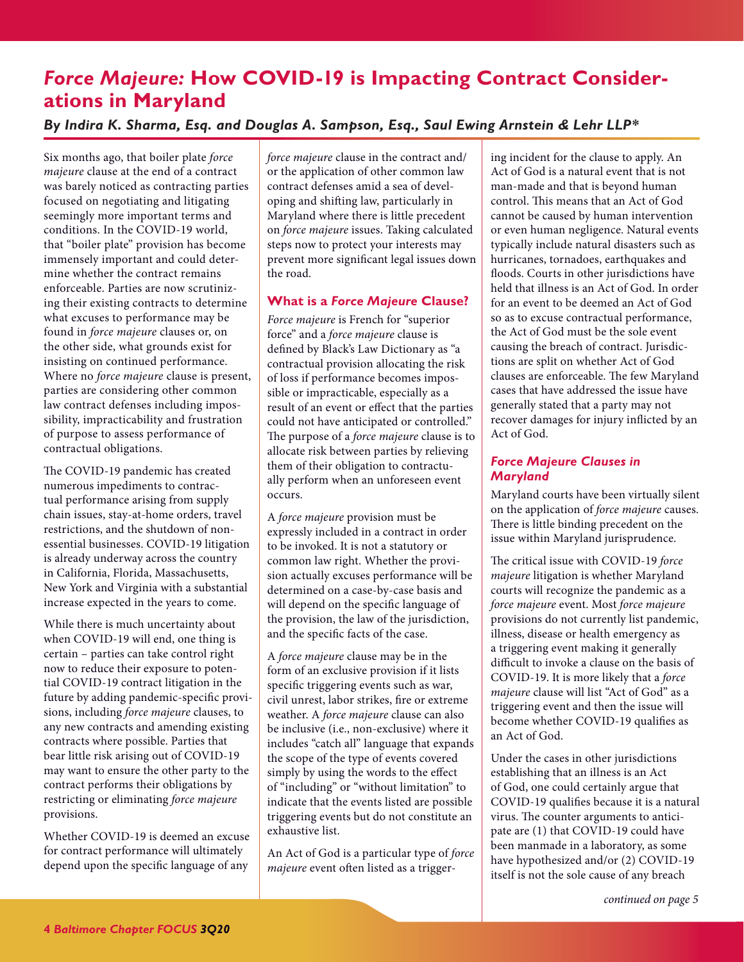# <span id="page-3-1"></span><span id="page-3-0"></span>*Force Majeure:* **How COVID-19 is Impacting Contract Considerations in Maryland**

# *By Indira K. Sharma, Esq. and Douglas A. Sampson, Esq., Saul Ewing Arnstein & Lehr LLP\**

Six months ago, that boiler plate *force majeure* clause at the end of a contract was barely noticed as contracting parties focused on negotiating and litigating seemingly more important terms and conditions. In the COVID-19 world, that "boiler plate" provision has become immensely important and could determine whether the contract remains enforceable. Parties are now scrutinizing their existing contracts to determine what excuses to performance may be found in *force majeure* clauses or, on the other side, what grounds exist for insisting on continued performance. Where no *force majeure* clause is present, parties are considering other common law contract defenses including impossibility, impracticability and frustration of purpose to assess performance of contractual obligations.

The COVID-19 pandemic has created numerous impediments to contractual performance arising from supply chain issues, stay-at-home orders, travel restrictions, and the shutdown of nonessential businesses. COVID-19 litigation is already underway across the country in California, Florida, Massachusetts, New York and Virginia with a substantial increase expected in the years to come.

While there is much uncertainty about when COVID-19 will end, one thing is certain – parties can take control right now to reduce their exposure to potential COVID-19 contract litigation in the future by adding pandemic-specific provisions, including *force majeure* clauses, to any new contracts and amending existing contracts where possible. Parties that bear little risk arising out of COVID-19 may want to ensure the other party to the contract performs their obligations by restricting or eliminating *force majeure* provisions.

Whether COVID-19 is deemed an excuse for contract performance will ultimately depend upon the specific language of any

*force majeure* clause in the contract and/ or the application of other common law contract defenses amid a sea of developing and shifting law, particularly in Maryland where there is little precedent on *force majeure* issues. Taking calculated steps now to protect your interests may prevent more significant legal issues down the road.

### **What is a** *Force Majeure* **Clause?**

*Force majeure* is French for "superior force" and a *force majeure* clause is defined by Black's Law Dictionary as "a contractual provision allocating the risk of loss if performance becomes impossible or impracticable, especially as a result of an event or effect that the parties could not have anticipated or controlled." The purpose of a *force majeure* clause is to allocate risk between parties by relieving them of their obligation to contractually perform when an unforeseen event occurs.

A *force majeure* provision must be expressly included in a contract in order to be invoked. It is not a statutory or common law right. Whether the provision actually excuses performance will be determined on a case-by-case basis and will depend on the specific language of the provision, the law of the jurisdiction, and the specific facts of the case.

A *force majeure* clause may be in the form of an exclusive provision if it lists specific triggering events such as war, civil unrest, labor strikes, fire or extreme weather. A *force majeure* clause can also be inclusive (i.e., non-exclusive) where it includes "catch all" language that expands the scope of the type of events covered simply by using the words to the effect of "including" or "without limitation" to indicate that the events listed are possible triggering events but do not constitute an exhaustive list.

An Act of God is a particular type of *force majeure* event often listed as a triggering incident for the clause to apply. An Act of God is a natural event that is not man-made and that is beyond human control. This means that an Act of God cannot be caused by human intervention or even human negligence. Natural events typically include natural disasters such as hurricanes, tornadoes, earthquakes and floods. Courts in other jurisdictions have held that illness is an Act of God. In order for an event to be deemed an Act of God so as to excuse contractual performance, the Act of God must be the sole event causing the breach of contract. Jurisdictions are split on whether Act of God clauses are enforceable. The few Maryland cases that have addressed the issue have generally stated that a party may not recover damages for injury inflicted by an Act of God.

## *Force Majeure Clauses in Maryland*

Maryland courts have been virtually silent on the application of *force majeure* causes. There is little binding precedent on the issue within Maryland jurisprudence.

The critical issue with COVID-19 *force majeure* litigation is whether Maryland courts will recognize the pandemic as a *force majeure* event. Most *force majeure* provisions do not currently list pandemic, illness, disease or health emergency as a triggering event making it generally difficult to invoke a clause on the basis of COVID-19. It is more likely that a *force majeure* clause will list "Act of God" as a triggering event and then the issue will become whether COVID-19 qualifies as an Act of God.

Under the cases in other jurisdictions establishing that an illness is an Act of God, one could certainly argue that COVID-19 qualifies because it is a natural virus. The counter arguments to anticipate are (1) that COVID-19 could have been manmade in a laboratory, as some have hypothesized and/or (2) COVID-19 itself is not the sole cause of any breach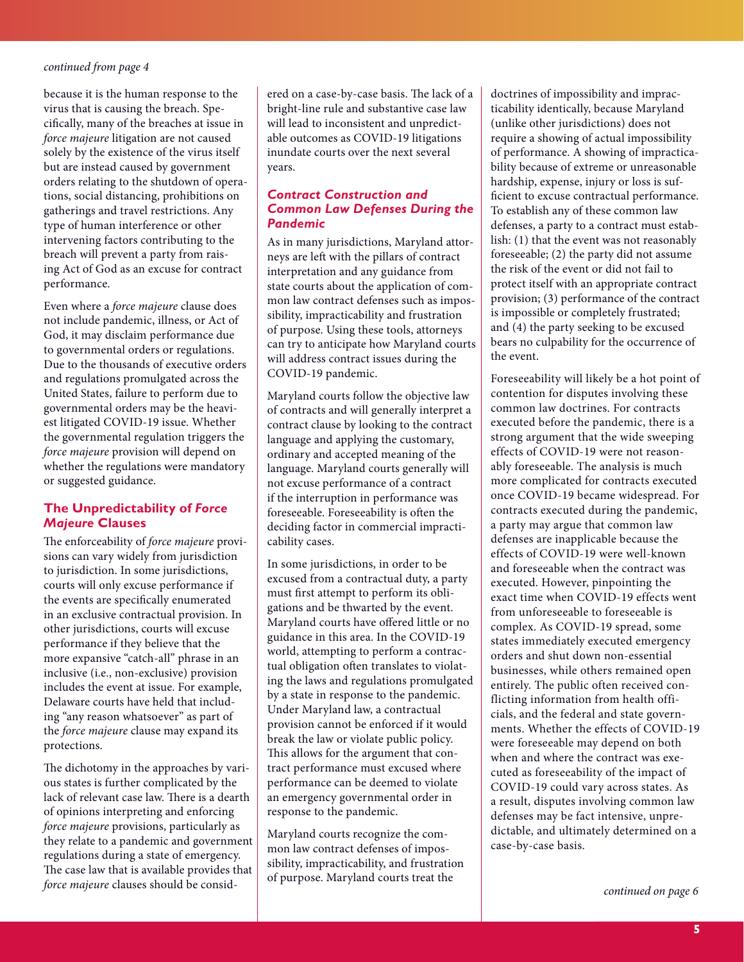<span id="page-4-0"></span>because it is the human response to the virus that is causing the breach. Specifically, many of the breaches at issue in *force majeure* litigation are not caused solely by the existence of the virus itself but are instead caused by government orders relating to the shutdown of operations, social distancing, prohibitions on gatherings and travel restrictions. Any type of human interference or other intervening factors contributing to the breach will prevent a party from raising Act of God as an excuse for contract performance.

Even where a *force majeure* clause does not include pandemic, illness, or Act of God, it may disclaim performance due to governmental orders or regulations. Due to the thousands of executive orders and regulations promulgated across the United States, failure to perform due to governmental orders may be the heaviest litigated COVID-19 issue. Whether the governmental regulation triggers the *force majeure* provision will depend on whether the regulations were mandatory or suggested guidance.

### **The Unpredictability of** *Force Majeure* **Clauses**

The enforceability of *force majeure* provisions can vary widely from jurisdiction to jurisdiction. In some jurisdictions, courts will only excuse performance if the events are specifically enumerated in an exclusive contractual provision. In other jurisdictions, courts will excuse performance if they believe that the more expansive "catch-all" phrase in an inclusive (i.e., non-exclusive) provision includes the event at issue. For example, Delaware courts have held that including "any reason whatsoever" as part of the *force majeure* clause may expand its protections.

The dichotomy in the approaches by various states is further complicated by the lack of relevant case law. There is a dearth of opinions interpreting and enforcing *force majeure* provisions, particularly as they relate to a pandemic and government regulations during a state of emergency. The case law that is available provides that *force majeure* clauses should be consid-

ered on a case-by-case basis. The lack of a bright-line rule and substantive case law will lead to inconsistent and unpredictable outcomes as COVID-19 litigations inundate courts over the next several years.

### *Contract Construction and Common Law Defenses During the Pandemic*

As in many jurisdictions, Maryland attorneys are left with the pillars of contract interpretation and any guidance from state courts about the application of common law contract defenses such as impossibility, impracticability and frustration of purpose. Using these tools, attorneys can try to anticipate how Maryland courts will address contract issues during the COVID-19 pandemic.

Maryland courts follow the objective law of contracts and will generally interpret a contract clause by looking to the contract language and applying the customary, ordinary and accepted meaning of the language. Maryland courts generally will not excuse performance of a contract if the interruption in performance was foreseeable. Foreseeability is often the deciding factor in commercial impracticability cases.

In some jurisdictions, in order to be excused from a contractual duty, a party must first attempt to perform its obligations and be thwarted by the event. Maryland courts have offered little or no guidance in this area. In the COVID-19 world, attempting to perform a contractual obligation often translates to violating the laws and regulations promulgated by a state in response to the pandemic. Under Maryland law, a contractual provision cannot be enforced if it would break the law or violate public policy. This allows for the argument that contract performance must excused where performance can be deemed to violate an emergency governmental order in response to the pandemic.

Maryland courts recognize the common law contract defenses of impossibility, impracticability, and frustration of purpose. Maryland courts treat the

doctrines of impossibility and impracticability identically, because Maryland (unlike other jurisdictions) does not require a showing of actual impossibility of performance. A showing of impracticability because of extreme or unreasonable hardship, expense, injury or loss is sufficient to excuse contractual performance. To establish any of these common law defenses, a party to a contract must establish: (1) that the event was not reasonably foreseeable; (2) the party did not assume the risk of the event or did not fail to protect itself with an appropriate contract provision; (3) performance of the contract is impossible or completely frustrated; and (4) the party seeking to be excused bears no culpability for the occurrence of the event.

Foreseeability will likely be a hot point of contention for disputes involving these common law doctrines. For contracts executed before the pandemic, there is a strong argument that the wide sweeping effects of COVID-19 were not reasonably foreseeable. The analysis is much more complicated for contracts executed once COVID-19 became widespread. For contracts executed during the pandemic, a party may argue that common law defenses are inapplicable because the effects of COVID-19 were well-known and foreseeable when the contract was executed. However, pinpointing the exact time when COVID-19 effects went from unforeseeable to foreseeable is complex. As COVID-19 spread, some states immediately executed emergency orders and shut down non-essential businesses, while others remained open entirely. The public often received conflicting information from health officials, and the federal and state governments. Whether the effects of COVID-19 were foreseeable may depend on both when and where the contract was executed as foreseeability of the impact of COVID-19 could vary across states. As a result, disputes involving common law defenses may be fact intensive, unpredictable, and ultimately determined on a case-by-case basis.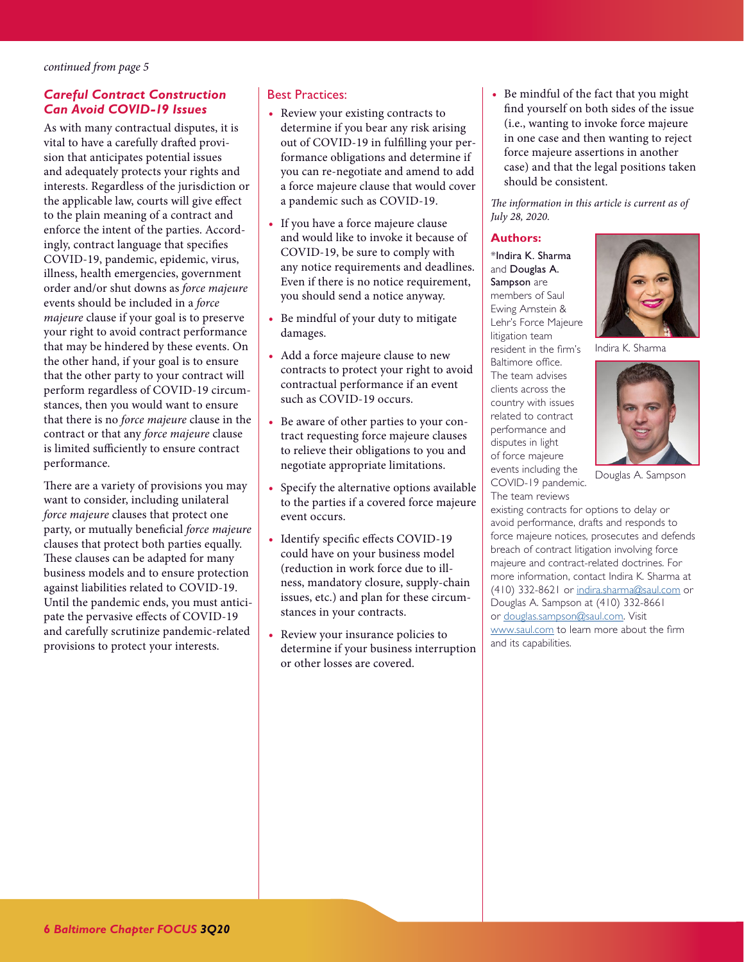### <span id="page-5-0"></span>*Careful Contract Construction Can Avoid COVID-19 Issues*

As with many contractual disputes, it is vital to have a carefully drafted provision that anticipates potential issues and adequately protects your rights and interests. Regardless of the jurisdiction or the applicable law, courts will give effect to the plain meaning of a contract and enforce the intent of the parties. Accordingly, contract language that specifies COVID-19, pandemic, epidemic, virus, illness, health emergencies, government order and/or shut downs as *force majeure* events should be included in a *force majeure* clause if your goal is to preserve your right to avoid contract performance that may be hindered by these events. On the other hand, if your goal is to ensure that the other party to your contract will perform regardless of COVID-19 circumstances, then you would want to ensure that there is no *force majeure* clause in the contract or that any *force majeure* clause is limited sufficiently to ensure contract performance.

There are a variety of provisions you may want to consider, including unilateral *force majeure* clauses that protect one party, or mutually beneficial *force majeure* clauses that protect both parties equally. These clauses can be adapted for many business models and to ensure protection against liabilities related to COVID-19. Until the pandemic ends, you must anticipate the pervasive effects of COVID-19 and carefully scrutinize pandemic-related provisions to protect your interests.

### Best Practices:

- **•** Review your existing contracts to determine if you bear any risk arising out of COVID-19 in fulfilling your performance obligations and determine if you can re-negotiate and amend to add a force majeure clause that would cover a pandemic such as COVID-19.
- **•** If you have a force majeure clause and would like to invoke it because of COVID-19, be sure to comply with any notice requirements and deadlines. Even if there is no notice requirement, you should send a notice anyway.
- **•** Be mindful of your duty to mitigate damages.
- **•** Add a force majeure clause to new contracts to protect your right to avoid contractual performance if an event such as COVID-19 occurs.
- **•** Be aware of other parties to your contract requesting force majeure clauses to relieve their obligations to you and negotiate appropriate limitations.
- **•** Specify the alternative options available to the parties if a covered force majeure event occurs.
- **•** Identify specific effects COVID-19 could have on your business model (reduction in work force due to illness, mandatory closure, supply-chain issues, etc.) and plan for these circumstances in your contracts.
- **•** Review your insurance policies to determine if your business interruption or other losses are covered.

**•** Be mindful of the fact that you might find yourself on both sides of the issue (i.e., wanting to invoke force majeure in one case and then wanting to reject force majeure assertions in another case) and that the legal positions taken should be consistent.

*The information in this article is current as of July 28, 2020.* 

#### **Authors:**

\*Indira K. Sharma and Douglas A. Sampson are members of Saul Ewing Arnstein & Lehr's Force Majeure litigation team resident in the firm's Baltimore office. The team advises clients across the country with issues related to contract performance and disputes in light of force majeure events including the COVID-19 pandemic. The team reviews



Indira K. Sharma



Douglas A. Sampson

existing contracts for options to delay or avoid performance, drafts and responds to force majeure notices, prosecutes and defends breach of contract litigation involving force majeure and contract-related doctrines. For more information, contact Indira K. Sharma at (410) 332-8621 or [indira.sharma@saul.com](mailto:indira.sharma%40saul.com?subject=) or Douglas A. Sampson at (410) 332-8661 or [douglas.sampson@saul.com](mailto:douglas.sampson%40saul.com?subject=). Visit [www.saul.com](http://www.saul.com) to learn more about the firm and its capabilities.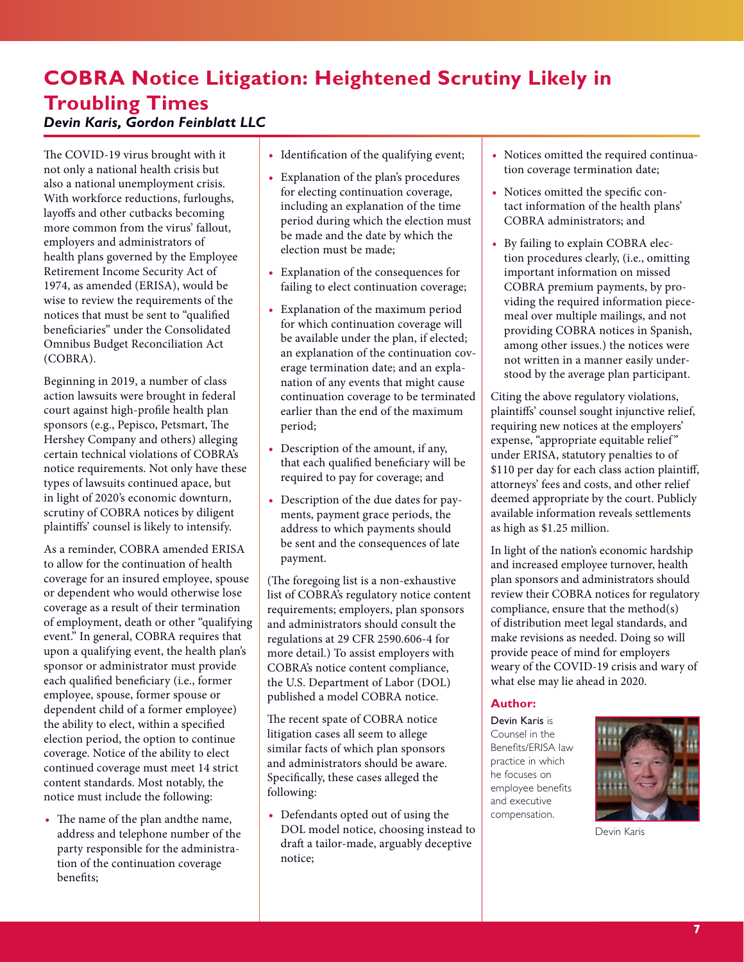# <span id="page-6-0"></span>**COBRA Notice Litigation: Heightened Scrutiny Likely in Troubling Times** *Devin Karis, Gordon Feinblatt LLC*

The COVID-19 virus brought with it not only a national health crisis but also a national unemployment crisis. With workforce reductions, furloughs, layoffs and other cutbacks becoming more common from the virus' fallout, employers and administrators of health plans governed by the Employee Retirement Income Security Act of 1974, as amended (ERISA), would be wise to review the requirements of the notices that must be sent to "qualified beneficiaries" under the Consolidated Omnibus Budget Reconciliation Act (COBRA).

Beginning in 2019, a number of class action lawsuits were brought in federal court against high-profile health plan sponsors (e.g., Pepisco, Petsmart, The Hershey Company and others) alleging certain technical violations of COBRA's notice requirements. Not only have these types of lawsuits continued apace, but in light of 2020's economic downturn, scrutiny of COBRA notices by diligent plaintiffs' counsel is likely to intensify.

As a reminder, COBRA amended ERISA to allow for the continuation of health coverage for an insured employee, spouse or dependent who would otherwise lose coverage as a result of their termination of employment, death or other "qualifying event." In general, COBRA requires that upon a qualifying event, the health plan's sponsor or administrator must provide each qualified beneficiary (i.e., former employee, spouse, former spouse or dependent child of a former employee) the ability to elect, within a specified election period, the option to continue coverage. Notice of the ability to elect continued coverage must meet 14 strict content standards. Most notably, the notice must include the following:

**•** The name of the plan andthe name, address and telephone number of the party responsible for the administration of the continuation coverage benefits;

- **•** Identification of the qualifying event;
- **•** Explanation of the plan's procedures for electing continuation coverage, including an explanation of the time period during which the election must be made and the date by which the election must be made;
- **•** Explanation of the consequences for failing to elect continuation coverage;
- **•** Explanation of the maximum period for which continuation coverage will be available under the plan, if elected; an explanation of the continuation coverage termination date; and an explanation of any events that might cause continuation coverage to be terminated earlier than the end of the maximum period;
- **•** Description of the amount, if any, that each qualified beneficiary will be required to pay for coverage; and
- **•** Description of the due dates for payments, payment grace periods, the address to which payments should be sent and the consequences of late payment.

(The foregoing list is a non-exhaustive list of COBRA's regulatory notice content requirements; employers, plan sponsors and administrators should consult the regulations at 29 CFR 2590.606-4 for more detail.) To assist employers with COBRA's notice content compliance, the U.S. Department of Labor (DOL) published a model COBRA notice.

The recent spate of COBRA notice litigation cases all seem to allege similar facts of which plan sponsors and administrators should be aware. Specifically, these cases alleged the following:

**•** Defendants opted out of using the DOL model notice, choosing instead to draft a tailor-made, arguably deceptive notice;

- **•** Notices omitted the required continuation coverage termination date;
- **•** Notices omitted the specific contact information of the health plans' COBRA administrators; and
- **•** By failing to explain COBRA election procedures clearly, (i.e., omitting important information on missed COBRA premium payments, by providing the required information piecemeal over multiple mailings, and not providing COBRA notices in Spanish, among other issues.) the notices were not written in a manner easily understood by the average plan participant.

Citing the above regulatory violations, plaintiffs' counsel sought injunctive relief, requiring new notices at the employers' expense, "appropriate equitable relief" under ERISA, statutory penalties to of \$110 per day for each class action plaintiff, attorneys' fees and costs, and other relief deemed appropriate by the court. Publicly available information reveals settlements as high as \$1.25 million.

In light of the nation's economic hardship and increased employee turnover, health plan sponsors and administrators should review their COBRA notices for regulatory compliance, ensure that the method(s) of distribution meet legal standards, and make revisions as needed. Doing so will provide peace of mind for employers weary of the COVID-19 crisis and wary of what else may lie ahead in 2020.

#### **Author:**

Devin Karis is Counsel in the Benefits/ERISA law practice in which he focuses on employee benefits and executive compensation.



Devin Karis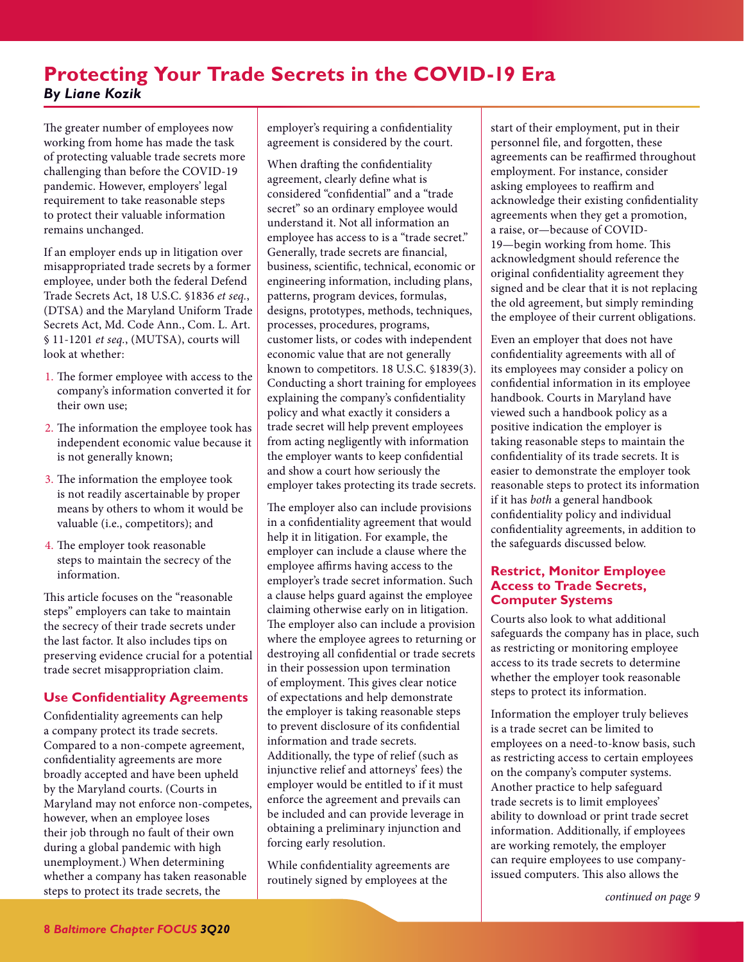# <span id="page-7-1"></span><span id="page-7-0"></span>**Protecting Your Trade Secrets in the COVID-19 Era** *By Liane Kozik*

The greater number of employees now working from home has made the task of protecting valuable trade secrets more challenging than before the COVID-19 pandemic. However, employers' legal requirement to take reasonable steps to protect their valuable information remains unchanged.

If an employer ends up in litigation over misappropriated trade secrets by a former employee, under both the federal Defend Trade Secrets Act, 18 U.S.C. §1836 *et seq.*, (DTSA) and the Maryland Uniform Trade Secrets Act, Md. Code Ann., Com. L. Art. § 11-1201 *et seq.*, (MUTSA), courts will look at whether:

- 1. The former employee with access to the company's information converted it for their own use;
- 2. The information the employee took has independent economic value because it is not generally known;
- 3. The information the employee took is not readily ascertainable by proper means by others to whom it would be valuable (i.e., competitors); and
- 4. The employer took reasonable steps to maintain the secrecy of the information.

This article focuses on the "reasonable steps" employers can take to maintain the secrecy of their trade secrets under the last factor. It also includes tips on preserving evidence crucial for a potential trade secret misappropriation claim.

## **Use Confidentiality Agreements**

Confidentiality agreements can help a company protect its trade secrets. Compared to a non-compete agreement, confidentiality agreements are more broadly accepted and have been upheld by the Maryland courts. (Courts in Maryland may not enforce non-competes, however, when an employee loses their job through no fault of their own during a global pandemic with high unemployment.) When determining whether a company has taken reasonable steps to protect its trade secrets, the

employer's requiring a confidentiality agreement is considered by the court.

When drafting the confidentiality agreement, clearly define what is considered "confidential" and a "trade secret" so an ordinary employee would understand it. Not all information an employee has access to is a "trade secret." Generally, trade secrets are financial, business, scientific, technical, economic or engineering information, including plans, patterns, program devices, formulas, designs, prototypes, methods, techniques, processes, procedures, programs, customer lists, or codes with independent economic value that are not generally known to competitors. 18 U.S.C. §1839(3). Conducting a short training for employees explaining the company's confidentiality policy and what exactly it considers a trade secret will help prevent employees from acting negligently with information the employer wants to keep confidential and show a court how seriously the employer takes protecting its trade secrets.

The employer also can include provisions in a confidentiality agreement that would help it in litigation. For example, the employer can include a clause where the employee affirms having access to the employer's trade secret information. Such a clause helps guard against the employee claiming otherwise early on in litigation. The employer also can include a provision where the employee agrees to returning or destroying all confidential or trade secrets in their possession upon termination of employment. This gives clear notice of expectations and help demonstrate the employer is taking reasonable steps to prevent disclosure of its confidential information and trade secrets. Additionally, the type of relief (such as injunctive relief and attorneys' fees) the employer would be entitled to if it must enforce the agreement and prevails can be included and can provide leverage in obtaining a preliminary injunction and forcing early resolution.

While confidentiality agreements are routinely signed by employees at the

start of their employment, put in their personnel file, and forgotten, these agreements can be reaffirmed throughout employment. For instance, consider asking employees to reaffirm and acknowledge their existing confidentiality agreements when they get a promotion, a raise, or—because of COVID-19—begin working from home. This acknowledgment should reference the original confidentiality agreement they signed and be clear that it is not replacing the old agreement, but simply reminding the employee of their current obligations.

Even an employer that does not have confidentiality agreements with all of its employees may consider a policy on confidential information in its employee handbook. Courts in Maryland have viewed such a handbook policy as a positive indication the employer is taking reasonable steps to maintain the confidentiality of its trade secrets. It is easier to demonstrate the employer took reasonable steps to protect its information if it has *both* a general handbook confidentiality policy and individual confidentiality agreements, in addition to the safeguards discussed below.

## **Restrict, Monitor Employee Access to Trade Secrets, Computer Systems**

Courts also look to what additional safeguards the company has in place, such as restricting or monitoring employee access to its trade secrets to determine whether the employer took reasonable steps to protect its information.

Information the employer truly believes is a trade secret can be limited to employees on a need-to-know basis, such as restricting access to certain employees on the company's computer systems. Another practice to help safeguard trade secrets is to limit employees' ability to download or print trade secret information. Additionally, if employees are working remotely, the employer can require employees to use companyissued computers. This also allows the

*[continued on page 9](#page-8-1)*